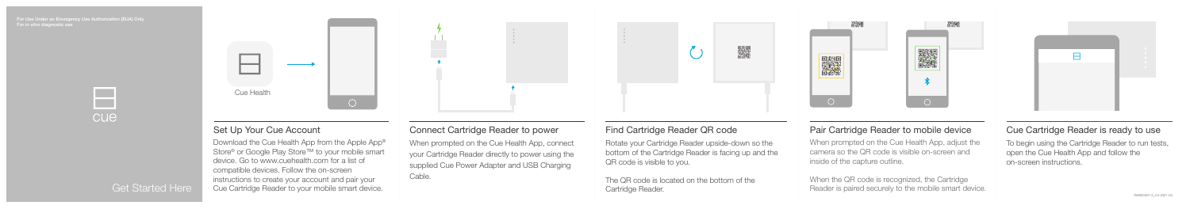# Get Started Here

## Set Up Your Cue Account

Download the Cue Health App from the Apple App® Store<sup>®</sup> or Google Play Store™ to your mobile smart device. Go to www.cuehealth.com for a list of compatible devices. Follow the on-screen instructions to create your account and pair your Cue Cartridge Reader to your mobile smart device.





When prompted on the Cue Health App, connect your Cartridge Reader directly to power using the supplied Cue Power Adapter and USB Charging Cable.

 $\frac{1}{2}$  .

## Find Cartridge Reader QR code

Rotate your Cartridge Reader upside-down so the bottom of the Cartridge Reader is facing up and the QR code is visible to you.

The QR code is located on the bottom of the Cartridge Reader.

 $\frac{1}{2}$  .  $\sim$ 

# Pair Cartridge Reader to mobile device

當選

**RASH** 

When prompted on the Cue Health App, adjust the camera so the QR code is visible on-screen and inside of the capture outline.

When the QR code is recognized, the Cartridge Reader is paired securely to the mobile smart device.





## Cue Cartridge Reader is ready to use

To begin using the Cartridge Reader to run tests, open the Cue Health App and follow the on-screen instructions.



For *in vitro* diagnostic use

an an **cue**